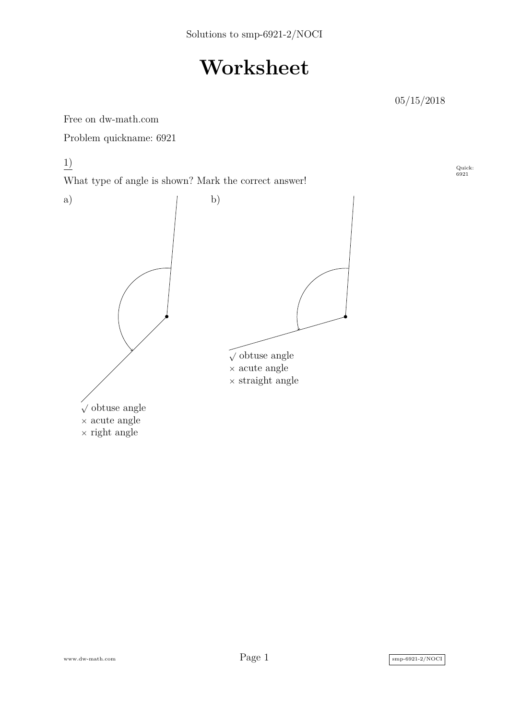## **Worksheet**

05/15/2018

Free on dw-math.com

Problem quickname: 6921

1)

What type of angle is shown? Mark the correct answer!



Quick: 6921

www.dw-math.com  $Page\ 1$  smp-6921-2/NOCI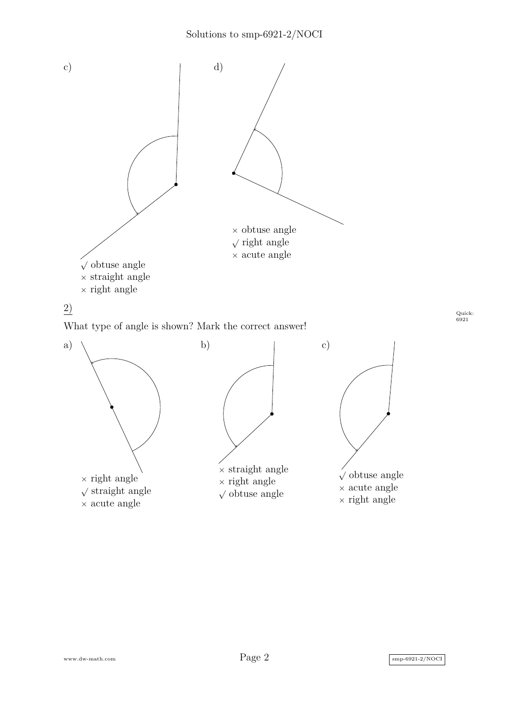

 $\times$  right angle  $\sqrt{\frac{1}{2}}$  straight angle × acute angle

 $\times$  right angle  $\sqrt{\text{obtuse angle}}$  √ obtuse angle × acute angle  $\times$  right angle

Quick: 6921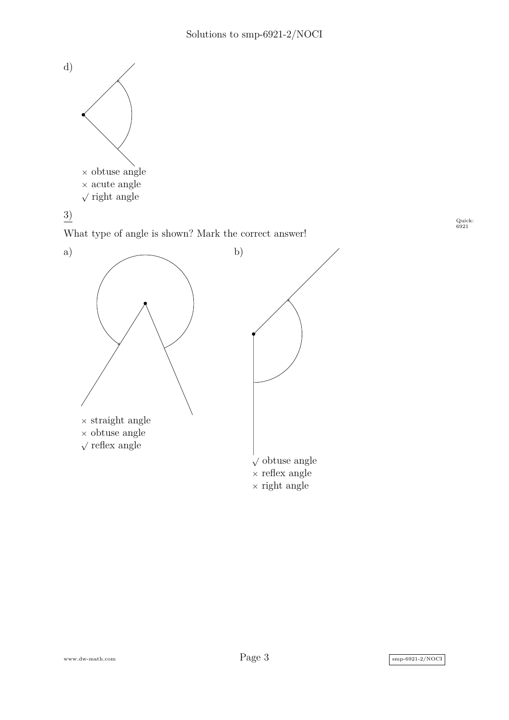

3)

Quick: 6921





www.dw-math.com  $Page\ 3$  smp-6921-2/NOCI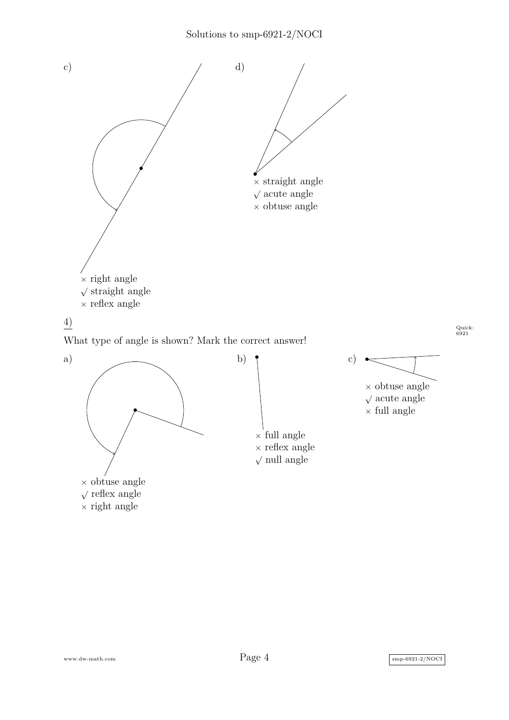

What type of angle is shown? Mark the correct answer!







c)

Quick: 6921

 $\times$  obtuse angle  $\sqrt{\text{acute angle}}$  $\times$  full angle

www.dw-math.com  $Page\ 4$  smp-6921-2/NOCI